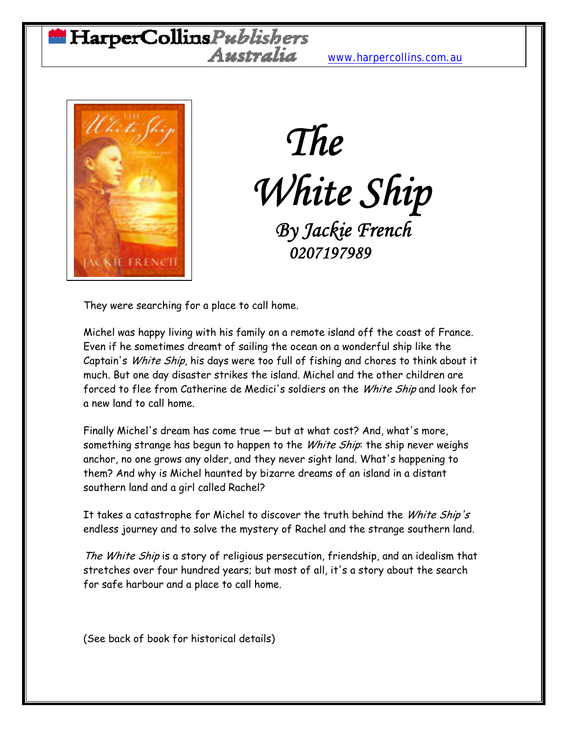## HarperCollinsPublishers Australia [www.harpercollins.com.au](http://www.harpercollins.com.au/)



## *The White Ship By Jackie French*<br>0207197989

They were searching for a place to call home.

Michel was happy living with his family on a remote island off the coast of France. Even if he sometimes dreamt of sailing the ocean on a wonderful ship like the Captain's White Ship, his days were too full of fishing and chores to think about it much. But one day disaster strikes the island. Michel and the other children are forced to flee from Catherine de Medici's soldiers on the *White Ship* and look for a new land to call home.

Finally Michel's dream has come true — but at what cost? And, what's more, something strange has begun to happen to the White Ship: the ship never weighs anchor, no one grows any older, and they never sight land. What's happening to them? And why is Michel haunted by bizarre dreams of an island in a distant southern land and a girl called Rachel?

It takes a catastrophe for Michel to discover the truth behind the White Ship's endless journey and to solve the mystery of Rachel and the strange southern land.

The White Ship is a story of religious persecution, friendship, and an idealism that stretches over four hundred years; but most of all, it's a story about the search for safe harbour and a place to call home.

(See back of book for historical details)